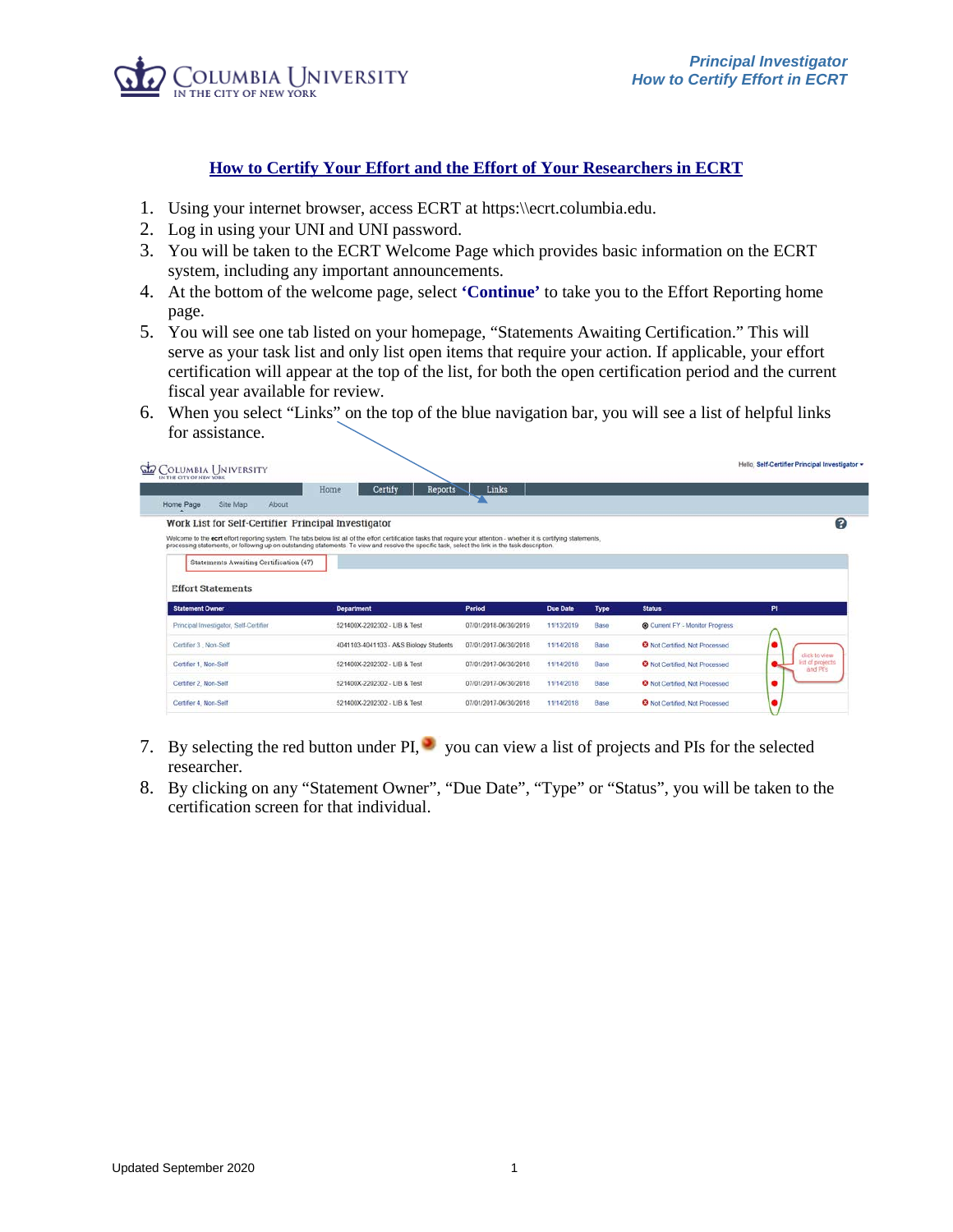

## **How to Certify Your Effort and the Effort of Your Researchers in ECRT**

- 1. Using your internet browser, access ECRT at https:\\ecrt.columbia.edu.
- 2. Log in using your UNI and UNI password.
- 3. You will be taken to the ECRT Welcome Page which provides basic information on the ECRT system, including any important announcements.
- 4. At the bottom of the welcome page, select **'Continue'** to take you to the Effort Reporting home page.
- 5. You will see one tab listed on your homepage, "Statements Awaiting Certification." This will serve as your task list and only list open items that require your action. If applicable, your effort certification will appear at the top of the list, for both the open certification period and the current fiscal year available for review.
- 6. When you select "Links" on the top of the blue navigation bar, you will see a list of helpful links for assistance.

|                                                                                                                                                                        | Certify<br>Home<br>Reports                                                                                                                                                                                                                                                                                                     | Links                 |                 |             |                                           |                                                     |
|------------------------------------------------------------------------------------------------------------------------------------------------------------------------|--------------------------------------------------------------------------------------------------------------------------------------------------------------------------------------------------------------------------------------------------------------------------------------------------------------------------------|-----------------------|-----------------|-------------|-------------------------------------------|-----------------------------------------------------|
| Site Map<br>About<br>Home Page                                                                                                                                         |                                                                                                                                                                                                                                                                                                                                |                       |                 |             |                                           |                                                     |
| Work List for Self-Certifier Principal Investigator                                                                                                                    |                                                                                                                                                                                                                                                                                                                                |                       |                 |             |                                           |                                                     |
|                                                                                                                                                                        | Welcome to the ecrt effort reporting system. The tabs below list all of the effort certification tasks that require your attention - whether it is certifying statements,<br>processing statements, or following up on outstanding statements. To view and resolve the specific task, select the link in the task description. |                       |                 |             |                                           |                                                     |
| Statements Awaiting Certification (47)                                                                                                                                 |                                                                                                                                                                                                                                                                                                                                |                       |                 |             |                                           |                                                     |
|                                                                                                                                                                        |                                                                                                                                                                                                                                                                                                                                |                       |                 |             |                                           |                                                     |
|                                                                                                                                                                        | <b>Department</b>                                                                                                                                                                                                                                                                                                              | Period                | <b>Due Date</b> | <b>Type</b> | <b>Status</b>                             | PI                                                  |
|                                                                                                                                                                        | 521400X-2202302 - LIB & Test                                                                                                                                                                                                                                                                                                   | 07/01/2018-06/30/2019 | 11/13/2019      | Base        | Current FY - Monitor Progress             |                                                     |
|                                                                                                                                                                        | 4041103-4041103 - A&S Biology Students                                                                                                                                                                                                                                                                                         | 07/01/2017-06/30/2018 | 11/14/2018      | <b>Base</b> | <sup>O</sup> Not Certified. Not Processed | ٠                                                   |
|                                                                                                                                                                        | 521400X-2202302 - LIB & Test                                                                                                                                                                                                                                                                                                   | 07/01/2017-06/30/2018 | 11/14/2018      | Base        | <sup>O</sup> Not Certified, Not Processed | click to yiew.<br><b>Est of projects</b><br>and Prs |
| <b>Effort Statements</b><br><b>Statement Owner</b><br>Principal Investigator, Self-Certifier<br>Certifier 3 Non-Self<br>Certifier 1, Non-Self<br>Certifier 2, Non-Self | 521400X-2202302 - LIB & Test                                                                                                                                                                                                                                                                                                   | 07/01/2017-06/30/2018 | 11/14/2018      | Base        | <sup>3</sup> Not Certified. Not Processed |                                                     |

- 7. By selecting the red button under  $PI$ , you can view a list of projects and PIs for the selected researcher.
- 8. By clicking on any "Statement Owner", "Due Date", "Type" or "Status", you will be taken to the certification screen for that individual.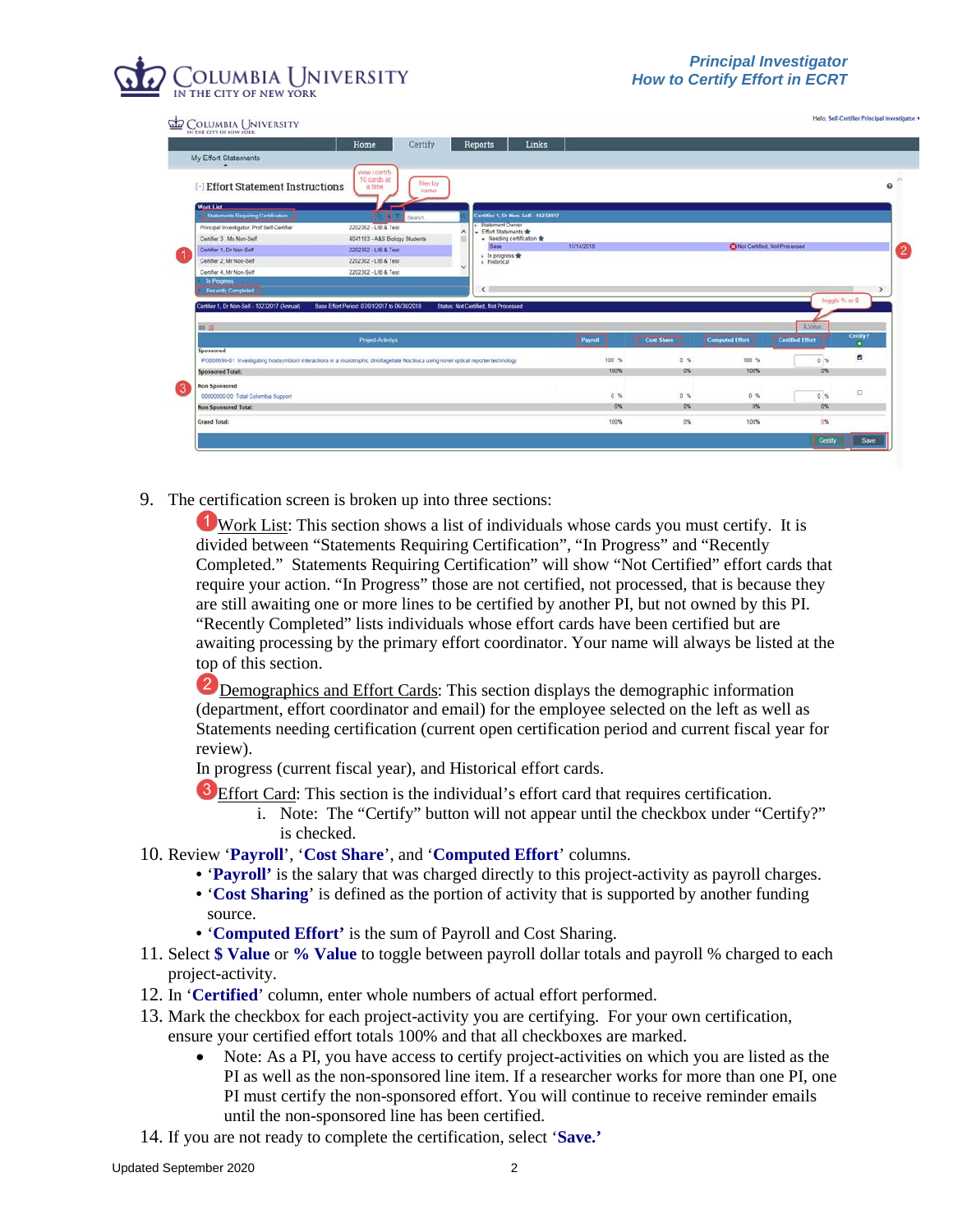## OLUMBIA UNIVERSITY

| COLUMBIA UNIVERSITY<br>IN THE CITY OF NEW YORK                                                                                                     |                                                              |   |                                                   |            |                   |                                        |                         |                |
|----------------------------------------------------------------------------------------------------------------------------------------------------|--------------------------------------------------------------|---|---------------------------------------------------|------------|-------------------|----------------------------------------|-------------------------|----------------|
|                                                                                                                                                    | Home<br>Certify                                              |   | Links<br><b>Reports</b>                           |            |                   |                                        |                         |                |
| My Effort Statements                                                                                                                               |                                                              |   |                                                   |            |                   |                                        |                         |                |
| <b>Effort Statement Instructions</b>                                                                                                               | view / certify<br>10 cards at<br>filter by<br>a time<br>name |   |                                                   |            |                   |                                        |                         |                |
| <b>Work List</b><br>Statements Requiring Certification                                                                                             | Search.                                                      |   | Certifier 1, Dr Non-Self - 10232017               |            |                   |                                        |                         |                |
| Principal Investigator, Prof Self-Certifier                                                                                                        | 2202302 - LIB & Test                                         | ́ | <b>Tal Statement Owner</b><br>- Effort Statements |            |                   |                                        |                         |                |
| Certifier 3 . Ms Non-Self                                                                                                                          | 4041103 - A&S Biology Students                               |   | - Needing certification                           |            |                   |                                        |                         |                |
| Certifier 1; Dr Non-Self                                                                                                                           | 2202302 - LIB & Test                                         |   | Base                                              | 11/14/2018 |                   | <b>Ca</b> Not Certified, Not Processed |                         |                |
| Certifier 2. Mr Non-Self                                                                                                                           | 2202302 - LIB & Test                                         | ü | » In progress s<br>· Historical                   |            |                   |                                        |                         |                |
| Certifier 4, Mr Non-Self                                                                                                                           | 2202302 - LIB & Test                                         |   |                                                   |            |                   |                                        |                         |                |
| In Progress                                                                                                                                        |                                                              |   |                                                   |            |                   |                                        |                         |                |
| Recently Completed                                                                                                                                 |                                                              |   | $\left\langle \right\rangle$                      |            |                   |                                        |                         | $\rightarrow$  |
| Certifier 1, Dr Non-Self - 10232017 (Annual)                                                                                                       | Base Effort Period: 07/01/2017 to 06/30/2018                 |   | Status' Not Certified, Not Processed              |            |                   |                                        |                         | toggle % or \$ |
| m B                                                                                                                                                |                                                              |   |                                                   |            |                   |                                        | <b>S.Vatus</b>          |                |
|                                                                                                                                                    | Project-Activitys                                            |   |                                                   | Payroll    | <b>Cost Share</b> | <b>Computed Effort</b>                 | <b>Certified Effort</b> | Certify?       |
| Sponsored<br>PG008695-01 Investigating hostsymbiont interactions in a muxotrophic dinoflagellate Noctiluca using novel optical reporter technology |                                                              |   |                                                   | 100 %      | 0.56              | $100-6$                                | 0.76                    | $\overline{a}$ |
| <b>Sponsored Total:</b>                                                                                                                            |                                                              |   |                                                   | 100%       | $0\%$             | 100%                                   | 0%                      |                |
|                                                                                                                                                    |                                                              |   |                                                   |            |                   |                                        |                         |                |
| <b>Non Sponsored</b><br>00000000-00 Total Columbia Support                                                                                         |                                                              |   |                                                   | 0.56       | 0.56              | 0 <sup>5</sup>                         | 0%                      | o              |
| <b>Non Sponsored Total:</b>                                                                                                                        |                                                              |   |                                                   | 0%         | 0%                | 0%                                     | 0%                      |                |
| <b>Grand Total:</b>                                                                                                                                |                                                              |   |                                                   | 100%       | O%                | 100%                                   | $0\%$                   |                |

9. The certification screen is broken up into three sections:

Work List: This section shows a list of individuals whose cards you must certify. It is divided between "Statements Requiring Certification", "In Progress" and "Recently Completed." Statements Requiring Certification" will show "Not Certified" effort cards that require your action. "In Progress" those are not certified, not processed, that is because they are still awaiting one or more lines to be certified by another PI, but not owned by this PI. "Recently Completed" lists individuals whose effort cards have been certified but are awaiting processing by the primary effort coordinator. Your name will always be listed at the top of this section.

**2** Demographics and Effort Cards: This section displays the demographic information (department, effort coordinator and email) for the employee selected on the left as well as Statements needing certification (current open certification period and current fiscal year for review).

In progress (current fiscal year), and Historical effort cards.

- <sup>3</sup> Effort Card: This section is the individual's effort card that requires certification.
	- i. Note: The "Certify" button will not appear until the checkbox under "Certify?" is checked.
- 10. Review '**Payroll**', '**Cost Share**', and '**Computed Effort**' columns.
	- '**Payroll'** is the salary that was charged directly to this project-activity as payroll charges.
	- '**Cost Sharing**' is defined as the portion of activity that is supported by another funding source.
	- '**Computed Effort'** is the sum of Payroll and Cost Sharing.
- 11. Select **\$ Value** or **% Value** to toggle between payroll dollar totals and payroll % charged to each project-activity.
- 12. In '**Certified**' column, enter whole numbers of actual effort performed.
- 13. Mark the checkbox for each project-activity you are certifying. For your own certification, ensure your certified effort totals 100% and that all checkboxes are marked.
	- Note: As a PI, you have access to certify project-activities on which you are listed as the PI as well as the non-sponsored line item. If a researcher works for more than one PI, one PI must certify the non-sponsored effort. You will continue to receive reminder emails until the non-sponsored line has been certified.
- 14. If you are not ready to complete the certification, select '**Save.'**